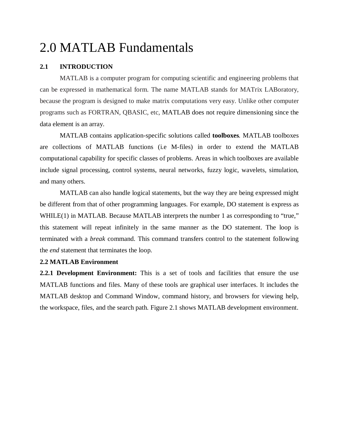# 2.0 MATLAB Fundamentals

#### **2.1 INTRODUCTION**

MATLAB is a computer program for computing scientific and engineering problems that can be expressed in mathematical form. The name MATLAB stands for MATrix LABoratory, because the program is designed to make matrix computations very easy. Unlike other computer programs such as FORTRAN, QBASIC, etc, MATLAB does not require dimensioning since the data element is an array.

MATLAB contains application-specific solutions called **toolboxes***.* MATLAB toolboxes are collections of MATLAB functions (i.e M-files) in order to extend the MATLAB computational capability for specific classes of problems. Areas in which toolboxes are available include signal processing, control systems, neural networks, fuzzy logic, wavelets, simulation, and many others.

MATLAB can also handle logical statements, but the way they are being expressed might be different from that of other programming languages. For example, DO statement is express as WHILE(1) in MATLAB. Because MATLAB interprets the number 1 as corresponding to "true," this statement will repeat infinitely in the same manner as the DO statement. The loop is terminated with a *break* command. This command transfers control to the statement following the *end* statement that terminates the loop.

#### **2.2 MATLAB Environment**

**2.2.1 Development Environment:** This is a set of tools and facilities that ensure the use MATLAB functions and files. Many of these tools are graphical user interfaces. It includes the MATLAB desktop and Command Window, command history, and browsers for viewing help, the workspace, files, and the search path. Figure 2.1 shows MATLAB development environment.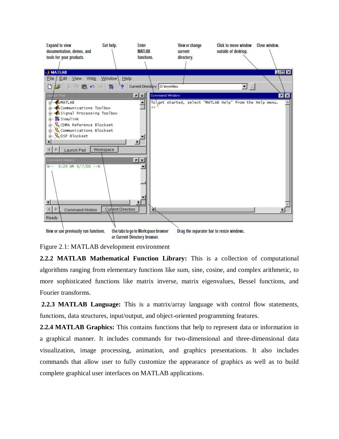

Figure 2.1: MATLAB development environment

**2.2.2 MATLAB Mathematical Function Library:** This is a collection of computational algorithms ranging from elementary functions like sum, sine, cosine, and complex arithmetic, to more sophisticated functions like matrix inverse, matrix eigenvalues, Bessel functions, and Fourier transforms.

**2.2.3 MATLAB Language:** This is a matrix/array language with control flow statements, functions, data structures, input/output, and object-oriented programming features.

**2.2.4 MATLAB Graphics:** This contains functions that help to represent data or information in a graphical manner. It includes commands for two-dimensional and three-dimensional data visualization, image processing, animation, and graphics presentations. It also includes commands that allow user to fully customize the appearance of graphics as well as to build complete graphical user interfaces on MATLAB applications.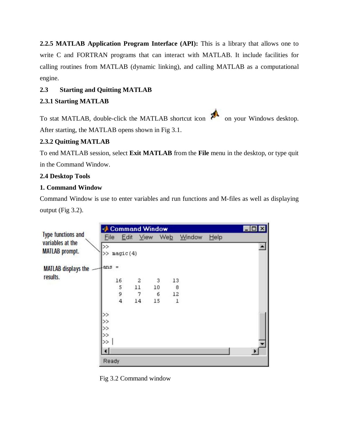**2.2.5 MATLAB Application Program Interface (API):** This is a library that allows one to write C and FORTRAN programs that can interact with MATLAB. It include facilities for calling routines from MATLAB (dynamic linking), and calling MATLAB as a computational engine.

# **2.3 Starting and Quitting MATLAB**

# **2.3.1 Starting MATLAB**

To stat MATLAB, double-click the MATLAB shortcut icon  $\mathbb{R}^{\mathbb{N}}$  on your Windows desktop. After starting, the MATLAB opens shown in Fig 3.1.

# **2.3.2 Quitting MATLAB**

To end MATLAB session, select **Exit MATLAB** from the **File** menu in the desktop, or type quit in the Command Window.

# **2.4 Desktop Tools**

## **1. Command Window**

Command Window is use to enter variables and run functions and M-files as well as displaying output (Fig 3.2).

|                                           | Command Window |                         |                                               |     |            | <b>MOX</b> |      |                       |  |
|-------------------------------------------|----------------|-------------------------|-----------------------------------------------|-----|------------|------------|------|-----------------------|--|
| <b>Type functions and</b>                 | Eile           | Edit                    | <b>View</b>                                   | Web |            | Window     | Help |                       |  |
| variables at the<br><b>MATLAB</b> prompt. | $>\!>$         | >> magic(4)             |                                               |     |            |            |      |                       |  |
| <b>MATLAB</b> displays the<br>results.    | lans =         |                         |                                               |     |            |            |      |                       |  |
|                                           |                | 16                      | $\begin{smallmatrix} 2\\11 \end{smallmatrix}$ | 3   | 13         |            |      |                       |  |
|                                           |                | 5<br>9                  |                                               | 10  | $^{\rm 8}$ |            |      |                       |  |
|                                           |                |                         | 7                                             | 6   | 12         |            |      |                       |  |
|                                           |                | $\overline{\mathbf{4}}$ | 14                                            | 15  | 1          |            |      |                       |  |
|                                           | >              |                         |                                               |     |            |            |      |                       |  |
|                                           | $\rightarrow$  |                         |                                               |     |            |            |      |                       |  |
|                                           | $\gg$          |                         |                                               |     |            |            |      |                       |  |
|                                           | >              |                         |                                               |     |            |            |      |                       |  |
|                                           | $>\!>$         |                         |                                               |     |            |            |      |                       |  |
|                                           |                |                         |                                               |     |            |            |      | $\blacktriangleright$ |  |
|                                           | Ready          |                         |                                               |     |            |            |      |                       |  |

Fig 3.2 Command window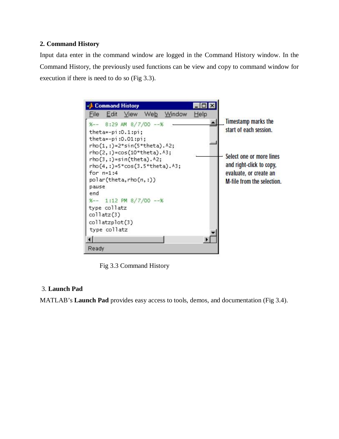## **2. Command History**

Input data enter in the command window are logged in the Command History window. In the Command History, the previously used functions can be view and copy to command window for execution if there is need to do so (Fig 3.3).

Command History  $\Box$  $\times$ File Edit View Web Window Help **Timestamp marks the** ×  $x--x$ 8:29 AM 8/7/00 -- % start of each session. theta=-pi:0.1:pi; theta=-pi:0.01:pi;  $rho(1,:)=2*sin(5*theta).$ rho(2,:)=cos(10\*theta).^3; Select one or more lines  $rho(3,:)$ =sin(theta). $A2;$ and right-click to copy, rho(4,:)=5\*cos(3.5\*theta).^3; for  $n=1:4$ evaluate, or create an polar(theta,rho(n,:)) M-file from the selection. pause end %-- 1:12 PM 8/7/00 -- % type collatz collatz(3) collatzplot(3) type collatz Ready

Fig 3.3 Command History

## 3. **Launch Pad**

MATLAB's **Launch Pad** provides easy access to tools, demos, and documentation (Fig 3.4).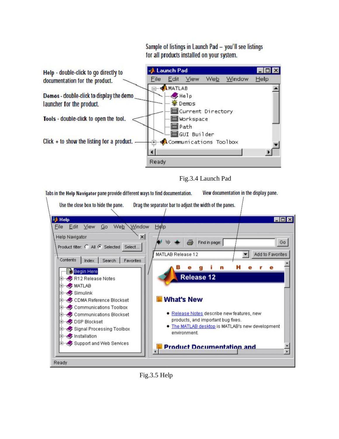Sample of listings in Launch Pad - you'll see listings for all products installed on your system.



Fig.3.4 Launch Pad

Tabs in the Help Navigator pane provide different ways to find documentation. View documentation in the display pane.



Fig.3.5 Help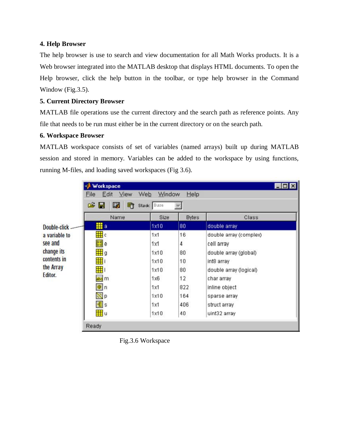#### **4. Help Browser**

The help browser is use to search and view documentation for all Math Works products. It is a Web browser integrated into the MATLAB desktop that displays HTML documents. To open the Help browser, click the help button in the toolbar, or type help browser in the Command Window (Fig. 3.5).

## **5. Current Directory Browser**

MATLAB file operations use the current directory and the search path as reference points. Any file that needs to be run must either be in the current directory or on the search path.

#### **6. Workspace Browser**

MATLAB workspace consists of set of variables (named arrays) built up during MATLAB session and stored in memory. Variables can be added to the workspace by using functions, running M-files, and loading saved workspaces (Fig 3.6).

|                                                   | Workspace<br>Edit<br>View<br>File                                     | Web<br>Window | Help         | $\Box$ o $\times$      |
|---------------------------------------------------|-----------------------------------------------------------------------|---------------|--------------|------------------------|
|                                                   | œ<br>Β,<br>畸<br>н                                                     | Stack: Base   |              |                        |
|                                                   | Name                                                                  | Size          | <b>Bytes</b> | Class                  |
| Double-click                                      | <b>iii</b> a                                                          | 1x10          | 80           | double array           |
| a variable to                                     | 用。                                                                    | 1x1           | 16           | double array (complex) |
| see and                                           | $\left[\begin{smallmatrix} 0 & 0 \\ 0 & 0 \end{smallmatrix}\right]$ e | 1x1           | 4            | cell array             |
| change its<br>contents in<br>the Array<br>Editor. | 用g                                                                    | 1x10          | 80           | double array (global)  |
|                                                   | 噩                                                                     | 1x10          | 10           | int8 array             |
|                                                   | 带                                                                     | 1x10          | 80           | double array (logical) |
|                                                   | abo m                                                                 | 1x6           | 12           | char array             |
|                                                   | $\boxed{\circledcirc}$ n                                              | 1x1           | 822          | inline object          |
|                                                   | $\mathbb{N}$ p                                                        | 1x10          | 164          | sparse array           |
|                                                   | 围s                                                                    | 1x1           | 406          | struct array           |
|                                                   | <b>Hi</b> u                                                           | 1x10          | 40           | uint32 array           |
|                                                   | Ready                                                                 |               |              |                        |

Fig.3.6 Workspace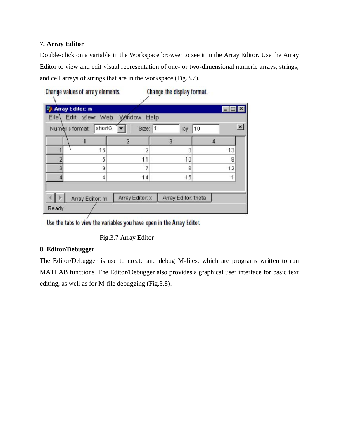## **7. Array Editor**

Double-click on a variable in the Workspace browser to see it in the Array Editor. Use the Array Editor to view and edit visual representation of one- or two-dimensional numeric arrays, strings, and cell arrays of strings that are in the workspace (Fig.3.7).

|  |  | Change values of array elements. |
|--|--|----------------------------------|
|  |  |                                  |

Change the display format.

|                   | <b>Array Editor: m</b> |                 |                     |    |          |
|-------------------|------------------------|-----------------|---------------------|----|----------|
| Eile <sup>\</sup> | Edit View Web          | Window Help     |                     |    |          |
|                   | Numeric format: shortG | Size: 1         | by                  | 10 | $\times$ |
|                   |                        |                 | $\overline{3}$      |    |          |
|                   | 16                     |                 | 3                   | 13 |          |
|                   | 5                      | 11              | 10                  | 8  |          |
| 3                 | g                      | 7               | 6                   | 12 |          |
|                   | 4                      | 14              | 15                  |    |          |
|                   |                        |                 |                     |    |          |
|                   | Array Editor: m        | Array Editor: x | Array Editor: theta |    |          |
| Ready             |                        |                 |                     |    |          |

Use the tabs to view the variables you have open in the Array Editor.

Fig.3.7 Array Editor

# **8. Editor/Debugger**

The Editor/Debugger is use to create and debug M-files, which are programs written to run MATLAB functions. The Editor/Debugger also provides a graphical user interface for basic text editing, as well as for M-file debugging (Fig.3.8).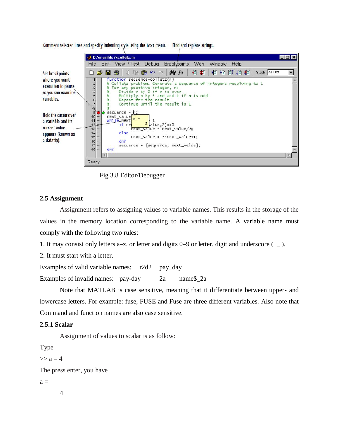

Comment selected lines and specify indenting style using the Text menu. Find and replace strings.

Fig 3.8 Editor/Debugger

#### **2.5 Assignment**

Assignment refers to assigning values to variable names. This results in the storage of the values in the memory location corresponding to the variable name. A variable name must comply with the following two rules:

1. It may consist only letters a–z, or letter and digits 0–9 or letter, digit and underscore ( \_ ).

2. It must start with a letter.

Examples of valid variable names: r2d2 pay\_day Examples of invalid names: pay-day 2a name\$\_2a

Note that MATLAB is case sensitive, meaning that it differentiate between upper- and lowercase letters. For example: fuse, FUSE and Fuse are three different variables. Also note that Command and function names are also case sensitive.

#### **2.5.1 Scalar**

Assignment of values to scalar is as follow:

Type

 $>> a = 4$ 

The press enter, you have

 $a =$ 

4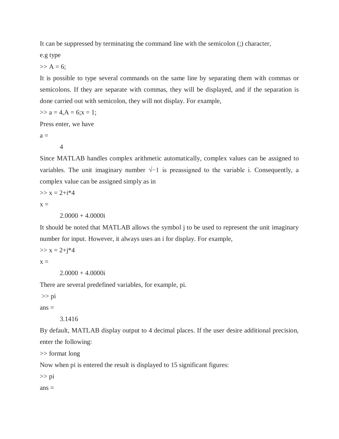It can be suppressed by terminating the command line with the semicolon (;) character,

e.g type

 $>> A = 6$ ;

It is possible to type several commands on the same line by separating them with commas or semicolons. If they are separate with commas, they will be displayed, and if the separation is done carried out with semicolon, they will not display. For example,

 $\gg$  a = 4, A = 6; x = 1;

Press enter, we have

 $a =$ 

4

Since MATLAB handles complex arithmetic automatically, complex values can be assigned to variables. The unit imaginary number  $\sqrt{-1}$  is preassigned to the variable i. Consequently, a complex value can be assigned simply as in

 $>> x = 2+i*4$ 

 $x =$ 

 $2.0000 + 4.0000i$ 

It should be noted that MATLAB allows the symbol j to be used to represent the unit imaginary number for input. However, it always uses an i for display. For example,

 $>> x = 2 + i * 4$ 

 $X =$ 

 $2.0000 + 4.0000i$ 

There are several predefined variables, for example, pi.

>> pi

 $ans =$ 

3.1416

By default, MATLAB display output to 4 decimal places. If the user desire additional precision, enter the following:

>> format long

Now when pi is entered the result is displayed to 15 significant figures:

>> pi

 $ans =$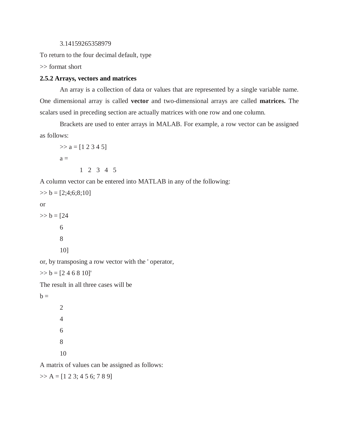```
3.14159265358979
```
To return to the four decimal default, type

>> format short

#### **2.5.2 Arrays, vectors and matrices**

An array is a collection of data or values that are represented by a single variable name. One dimensional array is called **vector** and two-dimensional arrays are called **matrices.** The scalars used in preceding section are actually matrices with one row and one column.

Brackets are used to enter arrays in MALAB. For example, a row vector can be assigned as follows:

 $\gg$  a = [1 2 3 4 5]  $a =$ 1 2 3 4 5

A column vector can be entered into MATLAB in any of the following:

 $\gg b = [2; 4; 6; 8; 10]$ or  $>> b = 24$ 6 8 10]

or, by transposing a row vector with the ' operator,

 $\gg b = [2 4 6 8 10]'$ 

The result in all three cases will be

 $b =$ 

A matrix of values can be assigned as follows:

 $\gg$  A = [1 2 3; 4 5 6; 7 8 9]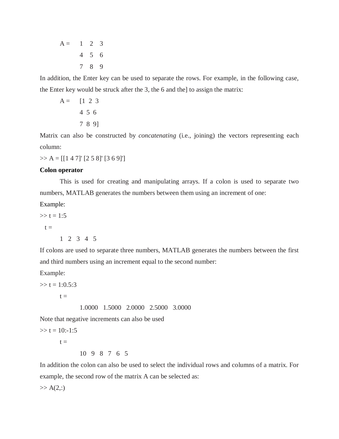$A = 1 2 3$ 4 5 6 7 8 9

In addition, the Enter key can be used to separate the rows. For example, in the following case, the Enter key would be struck after the 3, the 6 and the] to assign the matrix:

$$
A = [1 2 3 4 5 6 7 8 9]
$$

Matrix can also be constructed by *concatenating* (i.e., joining) the vectors representing each column:

 $>> A = [[1 4 7]' [2 5 8]' [3 6 9]']$ 

#### **Colon operator**

This is used for creating and manipulating arrays. If a colon is used to separate two numbers, MATLAB generates the numbers between them using an increment of one:

Example:

 $>> t = 1:5$  $t =$ 1 2 3 4 5

If colons are used to separate three numbers, MATLAB generates the numbers between the first and third numbers using an increment equal to the second number:

Example:

 $\gg t = 1:0.5:3$  $t =$ 1.0000 1.5000 2.0000 2.5000 3.0000

Note that negative increments can also be used

 $\gg t = 10:-1:5$  $t =$ 10 9 8 7 6 5

In addition the colon can also be used to select the individual rows and columns of a matrix. For example, the second row of the matrix A can be selected as:

 $>> A(2, :)$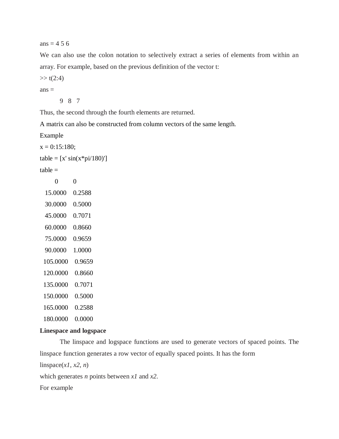ans  $= 4.56$ 

We can also use the colon notation to selectively extract a series of elements from within an array. For example, based on the previous definition of the vector t:

 $>> t(2:4)$ 

 $ans =$ 

9 8 7

Thus, the second through the fourth elements are returned.

A matrix can also be constructed from column vectors of the same length.

Example

 $x = 0:15:180;$ 

```
table = [x' sin(x * pi/180)']
```
 $table =$ 

| 0        | 0      |
|----------|--------|
| 15.0000  | 0.2588 |
| 30.0000  | 0.5000 |
| 45.0000  | 0.7071 |
| 60.0000  | 0.8660 |
| 75.0000  | 0.9659 |
| 90.0000  | 1.0000 |
| 105.0000 | 0.9659 |
| 120.0000 | 0.8660 |
| 135.0000 | 0.7071 |
| 150.0000 | 0.5000 |
| 165.0000 | 0.2588 |
| 180.0000 | 0.0000 |

#### **Linespace and logspace**

The linspace and logspace functions are used to generate vectors of spaced points. The linspace function generates a row vector of equally spaced points. It has the form

 $linspace(x1, x2, n)$ 

which generates *n* points between *x1* and *x2*.

For example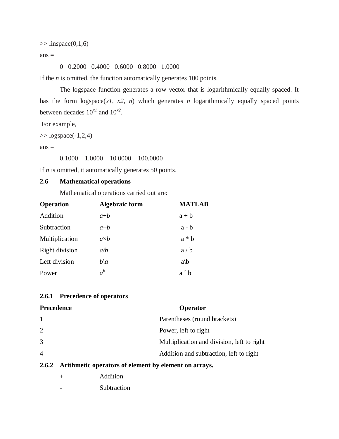$\gg$  linspace(0,1,6)

 $ans =$ 

0 0.2000 0.4000 0.6000 0.8000 1.0000

If the *n* is omitted, the function automatically generates 100 points.

The logspace function generates a row vector that is logarithmically equally spaced. It has the form  $logspace(x1, x2, n)$  which generates *n* logarithmically equally spaced points between decades  $10^{x}$  and  $10^{x}$ <sup>2</sup>.

For example,

 $\gg$  logspace(-1,2,4)

 $ans =$ 

0.1000 1.0000 10.0000 100.0000

If *n* is omitted, it automatically generates 50 points.

## **2.6 Mathematical operations**

Mathematical operations carried out are:

| <b>Operation</b> | <b>Algebraic form</b> | <b>MATLAB</b> |
|------------------|-----------------------|---------------|
| Addition         | $a+b$                 | $a + b$       |
| Subtraction      | $a-b$                 | $a - b$       |
| Multiplication   | $a \times b$          | $a * b$       |
| Right division   | a/b                   | a/b           |
| Left division    | $b\setminus a$        | a/b           |
| Power            | $a^b$                 | a ^ b         |

## **2.6.1 Precedence of operators**

| <b>Precedence</b> | Operator                                              |
|-------------------|-------------------------------------------------------|
| 1                 | Parentheses (round brackets)                          |
| $\overline{2}$    | Power, left to right                                  |
| 3                 | Multiplication and division, left to right            |
| $\overline{4}$    | Addition and subtraction, left to right               |
| 2.6.2             | Arithmetic operators of element by element on arrays. |

+ Addition

**Subtraction**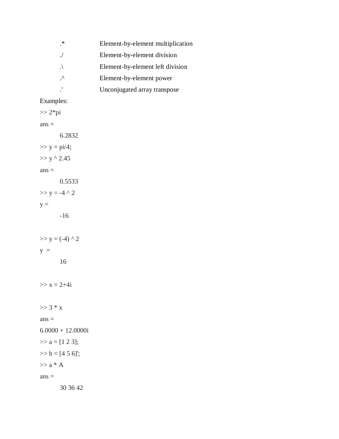| ∗         | Element-by-element multiplication |
|-----------|-----------------------------------|
|           | Element-by-element division       |
|           | Element-by-element left division  |
| $\lambda$ | Element-by-element power          |
|           | Unconjugated array transpose      |

# Examples:

 $>> 2*pi$  $ans =$ 6.2832  $>> y = pi/4;$  $>> y \wedge 2.45$  $ans =$ 0.5533  $>> y = -4 \land 2$  $y =$ -16  $>> y = (-4)$  ^ 2  $y =$ 16  $>> x = 2 + 4i$  $>> 3 * x$  $ans =$  $6.0000 + 12.0000i$  $\gg$  a = [1 2 3];  $>> b = [4 5 6]$ ;  $\gg$  a  $^*$  A  $ans =$ 30 36 42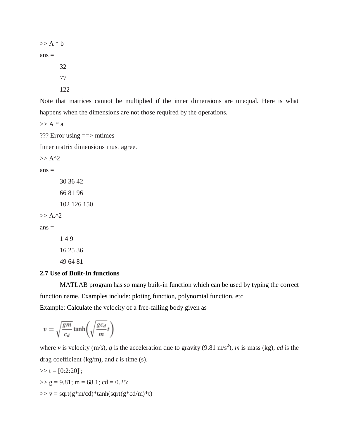$\gg$  A  $*$  b  $ans =$ 32 77 122

Note that matrices cannot be multiplied if the inner dimensions are unequal. Here is what happens when the dimensions are not those required by the operations.

 $>> A * a$ 

??? Error using ==> mtimes

Inner matrix dimensions must agree.

 $>> A^2$ 

 $ans =$ 

16 25 36 49 64 81

#### **2.7 Use of Built-In functions**

MATLAB program has so many built-in function which can be used by typing the correct function name. Examples include: ploting function, polynomial function, etc.

Example: Calculate the velocity of a free-falling body given as

$$
v = \sqrt{\frac{gm}{c_d}} \tanh\left(\sqrt{\frac{gc_d}{m}}t\right)
$$

where *v* is velocity (m/s), *g* is the acceleration due to gravity (9.81 m/s<sup>2</sup>), *m* is mass (kg), *cd* is the drag coefficient (kg/m), and *t* is time (s).

>> t = [0:2:20]'; >> g = 9.81; m = 68.1; cd = 0.25;

 $\gg v =$  sqrt(g\*m/cd)\*tanh(sqrt(g\*cd/m)\*t)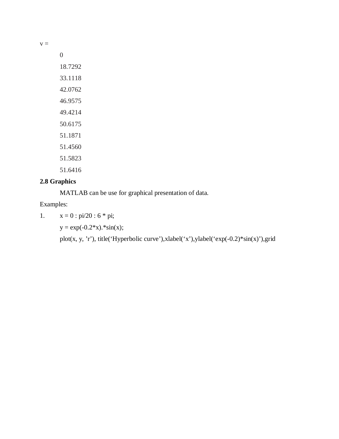$v =$ 

0 18.7292 33.1118 42.0762 46.9575 49.4214 50.6175 51.1871 51.4560 51.5823 51.6416

# **2.8 Graphics**

MATLAB can be use for graphical presentation of data.

Examples:

1.  $x = 0$ :  $pi/20$ :  $6 * pi$ ;

 $y = exp(-0.2*x).*sin(x);$ 

plot(x, y, 'r'), title('Hyperbolic curve'),xlabel('x'),ylabel('exp(-0.2)\*sin(x)'),grid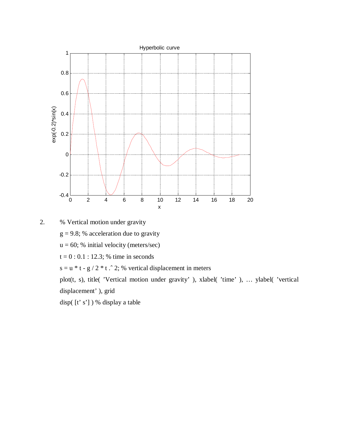

2. % Vertical motion under gravity  $g = 9.8$ ; % acceleration due to gravity  $u = 60$ ; % initial velocity (meters/sec)  $t = 0$ : 0.1 : 12.3; % time in seconds

s = u \* t - g / 2 \* t  $\hat{ }$  2; % vertical displacement in meters

plot(t, s), title( 'Vertical motion under gravity' ), xlabel( 'time' ), … ylabel( 'vertical displacement' ), grid

disp( [t' s'] ) % display a table